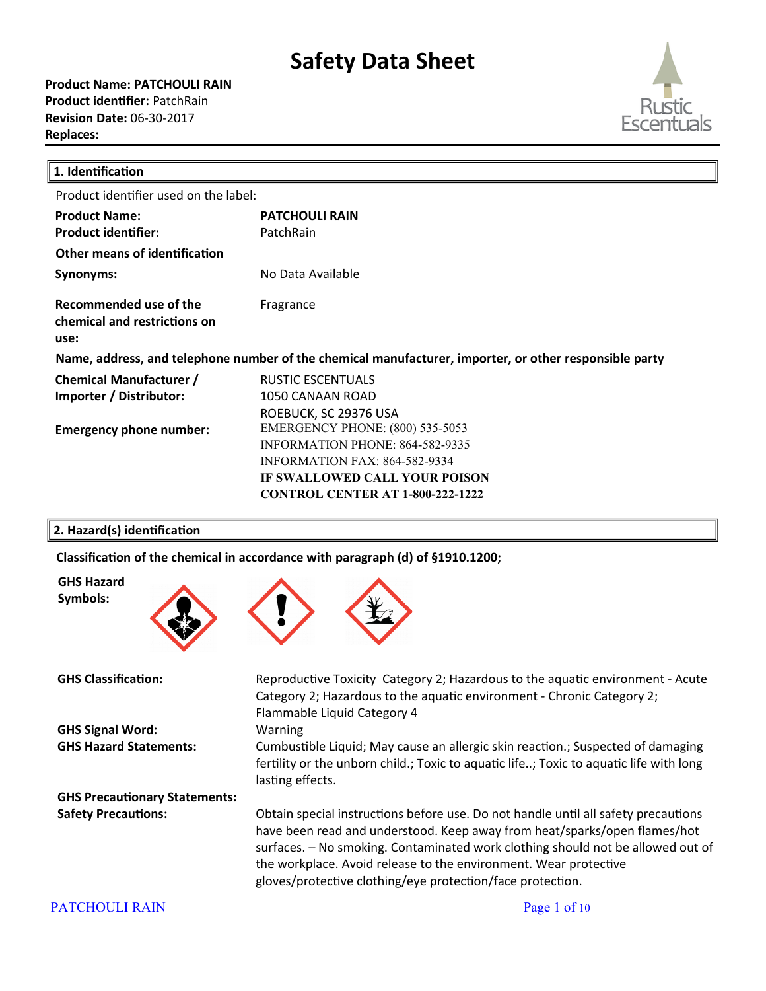**Product Name: PATCHOULI RAIN Product identifier:** PatchRain **Revision Date:** 06-30-2017 **Replaces:** 



| 1. Identification                                                                                      |                                         |  |
|--------------------------------------------------------------------------------------------------------|-----------------------------------------|--|
| Product identifier used on the label:                                                                  |                                         |  |
| <b>Product Name:</b>                                                                                   | <b>PATCHOULI RAIN</b>                   |  |
| <b>Product identifier:</b>                                                                             | PatchRain                               |  |
| <b>Other means of identification</b>                                                                   |                                         |  |
| Synonyms:                                                                                              | No Data Available                       |  |
| Recommended use of the<br>chemical and restrictions on<br>use:                                         | Fragrance                               |  |
| Name, address, and telephone number of the chemical manufacturer, importer, or other responsible party |                                         |  |
| <b>Chemical Manufacturer /</b>                                                                         | RUSTIC ESCENTUALS                       |  |
| Importer / Distributor:                                                                                | 1050 CANAAN ROAD                        |  |
|                                                                                                        | ROEBUCK, SC 29376 USA                   |  |
| <b>Emergency phone number:</b>                                                                         | <b>EMERGENCY PHONE: (800) 535-5053</b>  |  |
|                                                                                                        | INFORMATION PHONE: 864-582-9335         |  |
|                                                                                                        | <b>INFORMATION FAX: 864-582-9334</b>    |  |
|                                                                                                        | IF SWALLOWED CALL YOUR POISON           |  |
|                                                                                                        | <b>CONTROL CENTER AT 1-800-222-1222</b> |  |

#### **2. Hazard(s) identification**

**GHS Hazard Symbols:**

Classification of the chemical in accordance with paragraph (d) of §1910.1200;



GHS Classification: Reproductive Toxicity Category 2; Hazardous to the aquatic environment - Acute Category 2; Hazardous to the aquatic environment - Chronic Category 2; Flammable Liquid Category 4 **GHS Signal Word:** Warning **GHS Hazard Statements:** Cumbustible Liquid; May cause an allergic skin reaction.; Suspected of damaging fertility or the unborn child.; Toxic to aquatic life..; Toxic to aquatic life with long lasting effects. **GHS Precautionary Statements:** Safety Precautions: Obtain special instructions before use. Do not handle until all safety precautions have been read and understood. Keep away from heat/sparks/open flames/hot surfaces. - No smoking. Contaminated work clothing should not be allowed out of the workplace. Avoid release to the environment. Wear protective gloves/protective clothing/eye protection/face protection.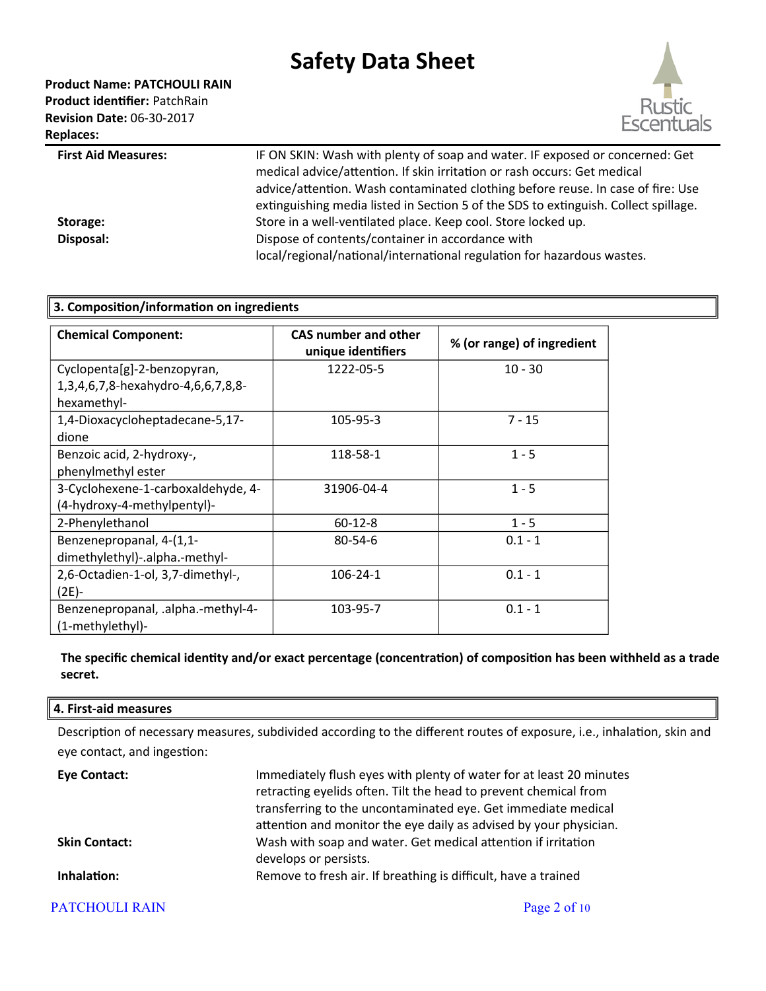**Product Name: PATCHOULI RAIN Product identifier:** PatchRain



First Aid Measures: **IF ON SKIN: Wash with plenty of soap and water. IF exposed or concerned: Get** medical advice/attention. If skin irritation or rash occurs: Get medical advice/attention. Wash contaminated clothing before reuse. In case of fire: Use extinguishing media listed in Section 5 of the SDS to extinguish. Collect spillage. **Storage:** Store in a well-ventilated place. Keep cool. Store locked up. **Disposal:** Dispose of contents/container in accordance with local/regional/national/international regulation for hazardous wastes.

| 3. Composition/information on ingredients |                                                   |                            |
|-------------------------------------------|---------------------------------------------------|----------------------------|
| <b>Chemical Component:</b>                | <b>CAS number and other</b><br>unique identifiers | % (or range) of ingredient |
| Cyclopenta[g]-2-benzopyran,               | 1222-05-5                                         | $10 - 30$                  |
| 1,3,4,6,7,8-hexahydro-4,6,6,7,8,8-        |                                                   |                            |
| hexamethyl-                               |                                                   |                            |
| 1,4-Dioxacycloheptadecane-5,17-           | 105-95-3                                          | $7 - 15$                   |
| dione                                     |                                                   |                            |
| Benzoic acid, 2-hydroxy-,                 | 118-58-1                                          | $1 - 5$                    |
| phenylmethyl ester                        |                                                   |                            |
| 3-Cyclohexene-1-carboxaldehyde, 4-        | 31906-04-4                                        | $1 - 5$                    |
| (4-hydroxy-4-methylpentyl)-               |                                                   |                            |
| 2-Phenylethanol                           | $60 - 12 - 8$                                     | $1 - 5$                    |
| Benzenepropanal, 4-(1,1-                  | $80 - 54 - 6$                                     | $0.1 - 1$                  |
| dimethylethyl)-.alpha.-methyl-            |                                                   |                            |
| 2,6-Octadien-1-ol, 3,7-dimethyl-,         | $106 - 24 - 1$                                    | $0.1 - 1$                  |
| $(2E) -$                                  |                                                   |                            |
| Benzenepropanal, .alpha.-methyl-4-        | 103-95-7                                          | $0.1 - 1$                  |
| (1-methylethyl)-                          |                                                   |                            |

### **The specific chemical identity and/or exact percentage (concentration) of composition has been withheld as a trade secret.**

#### **4. First-aid measures**

Description of necessary measures, subdivided according to the different routes of exposure, i.e., inhalation, skin and eye contact, and ingestion:

| Eye Contact:         | Immediately flush eyes with plenty of water for at least 20 minutes<br>retracting eyelids often. Tilt the head to prevent chemical from<br>transferring to the uncontaminated eye. Get immediate medical<br>attention and monitor the eye daily as advised by your physician. |
|----------------------|-------------------------------------------------------------------------------------------------------------------------------------------------------------------------------------------------------------------------------------------------------------------------------|
| <b>Skin Contact:</b> | Wash with soap and water. Get medical attention if irritation<br>develops or persists.                                                                                                                                                                                        |
| Inhalation:          | Remove to fresh air. If breathing is difficult, have a trained                                                                                                                                                                                                                |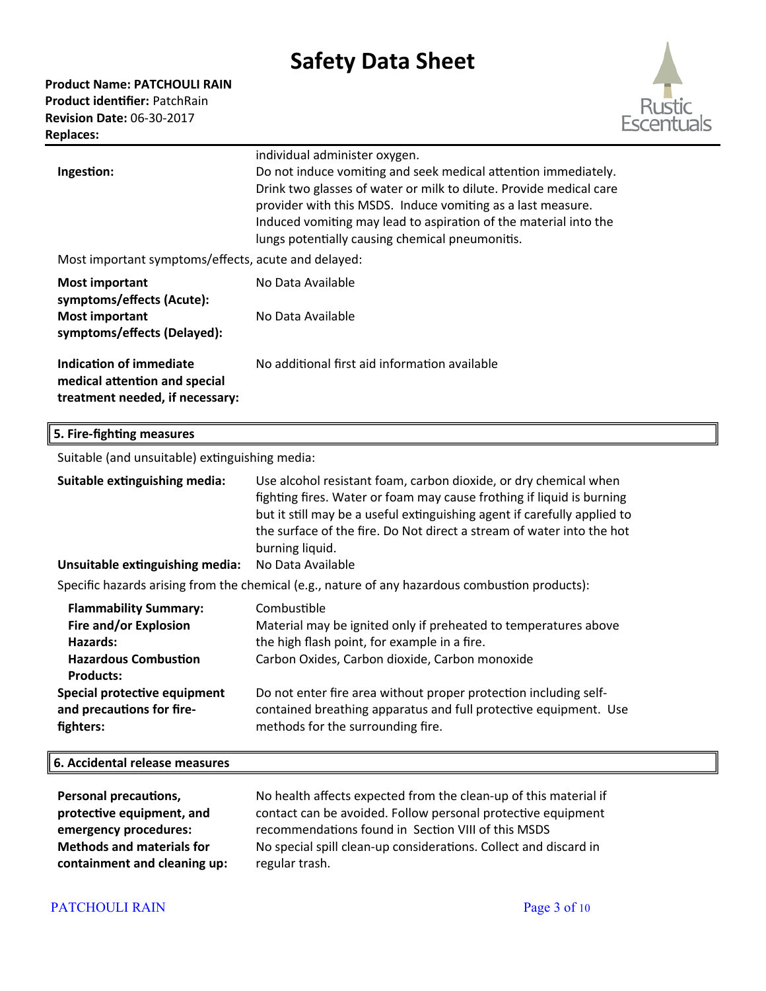**Product Name: PATCHOULI RAIN Product identifier:** PatchRain **Revision Date:** 06-30-2017 **Replaces:** 



|                                                                                             | individual administer oxygen.                                                                                                                                                                                                                                                                                              |  |
|---------------------------------------------------------------------------------------------|----------------------------------------------------------------------------------------------------------------------------------------------------------------------------------------------------------------------------------------------------------------------------------------------------------------------------|--|
| Ingestion:                                                                                  | Do not induce vomiting and seek medical attention immediately.<br>Drink two glasses of water or milk to dilute. Provide medical care<br>provider with this MSDS. Induce vomiting as a last measure.<br>Induced vomiting may lead to aspiration of the material into the<br>lungs potentially causing chemical pneumonitis. |  |
| Most important symptoms/effects, acute and delayed:                                         |                                                                                                                                                                                                                                                                                                                            |  |
| <b>Most important</b><br>symptoms/effects (Acute):                                          | No Data Available                                                                                                                                                                                                                                                                                                          |  |
| <b>Most important</b><br>symptoms/effects (Delayed):                                        | No Data Available                                                                                                                                                                                                                                                                                                          |  |
| Indication of immediate<br>medical attention and special<br>treatment needed, if necessary: | No additional first aid information available                                                                                                                                                                                                                                                                              |  |

### **5. Fire-fighting measures**

Suitable (and unsuitable) extinguishing media:

| Suitable extinguishing media:<br>Unsuitable extinguishing media:                                                     | Use alcohol resistant foam, carbon dioxide, or dry chemical when<br>fighting fires. Water or foam may cause frothing if liquid is burning<br>but it still may be a useful extinguishing agent if carefully applied to<br>the surface of the fire. Do Not direct a stream of water into the hot<br>burning liquid.<br>No Data Available |  |
|----------------------------------------------------------------------------------------------------------------------|----------------------------------------------------------------------------------------------------------------------------------------------------------------------------------------------------------------------------------------------------------------------------------------------------------------------------------------|--|
| Specific hazards arising from the chemical (e.g., nature of any hazardous combustion products):                      |                                                                                                                                                                                                                                                                                                                                        |  |
| <b>Flammability Summary:</b><br>Fire and/or Explosion<br>Hazards:<br><b>Hazardous Combustion</b><br><b>Products:</b> | Combustible<br>Material may be ignited only if preheated to temperatures above<br>the high flash point, for example in a fire.<br>Carbon Oxides, Carbon dioxide, Carbon monoxide                                                                                                                                                       |  |
| Special protective equipment<br>and precautions for fire-<br>fighters:                                               | Do not enter fire area without proper protection including self-<br>contained breathing apparatus and full protective equipment. Use<br>methods for the surrounding fire.                                                                                                                                                              |  |
| 6. Accidental release measures                                                                                       |                                                                                                                                                                                                                                                                                                                                        |  |

| <b>Personal precautions,</b>     | No health affects expected from the clean-up of this material if |
|----------------------------------|------------------------------------------------------------------|
| protective equipment, and        | contact can be avoided. Follow personal protective equipment     |
| emergency procedures:            | recommendations found in Section VIII of this MSDS               |
| <b>Methods and materials for</b> | No special spill clean-up considerations. Collect and discard in |
| containment and cleaning up:     | regular trash.                                                   |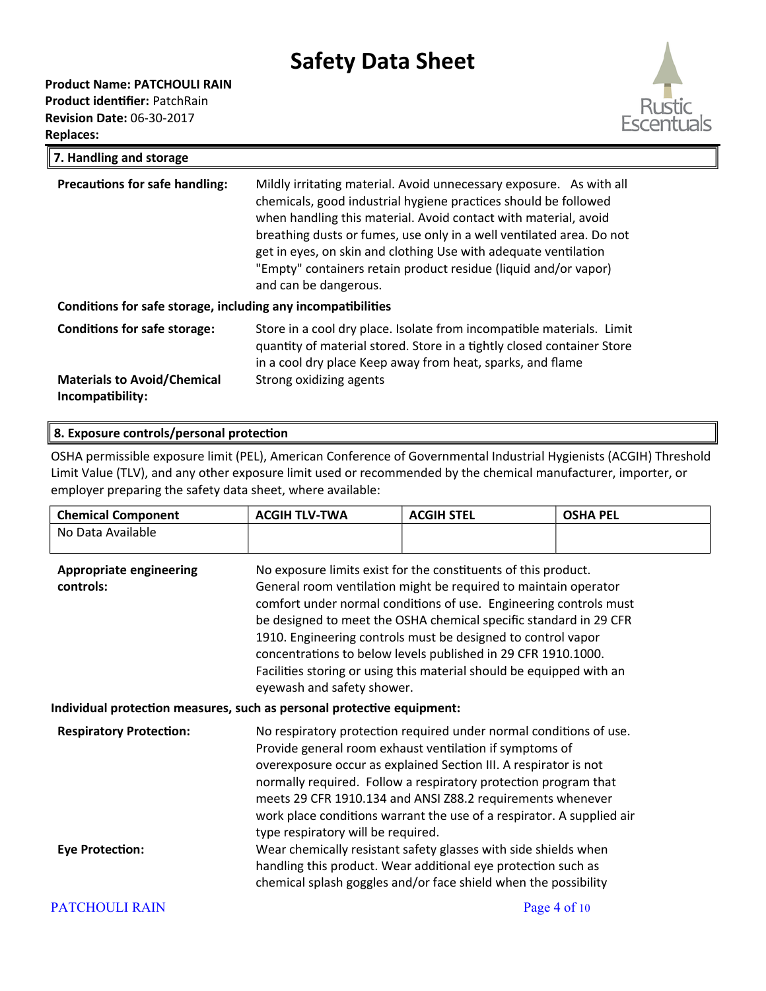#### **Product Name: PATCHOULI RAIN**

**Product identifier:** PatchRain **Revision Date:** 06-30-2017 **Replaces:** 



| 7. Handling and storage                                      |                                                                                                                                                                                                                                                                                                                                                                                                                                                  |  |
|--------------------------------------------------------------|--------------------------------------------------------------------------------------------------------------------------------------------------------------------------------------------------------------------------------------------------------------------------------------------------------------------------------------------------------------------------------------------------------------------------------------------------|--|
| <b>Precautions for safe handling:</b>                        | Mildly irritating material. Avoid unnecessary exposure. As with all<br>chemicals, good industrial hygiene practices should be followed<br>when handling this material. Avoid contact with material, avoid<br>breathing dusts or fumes, use only in a well ventilated area. Do not<br>get in eyes, on skin and clothing Use with adequate ventilation<br>"Empty" containers retain product residue (liquid and/or vapor)<br>and can be dangerous. |  |
| Conditions for safe storage, including any incompatibilities |                                                                                                                                                                                                                                                                                                                                                                                                                                                  |  |
| <b>Conditions for safe storage:</b>                          | Store in a cool dry place. Isolate from incompatible materials. Limit<br>quantity of material stored. Store in a tightly closed container Store<br>in a cool dry place Keep away from heat, sparks, and flame                                                                                                                                                                                                                                    |  |
| <b>Materials to Avoid/Chemical</b><br>Incompatibility:       | Strong oxidizing agents                                                                                                                                                                                                                                                                                                                                                                                                                          |  |

#### **8. Exposure controls/personal protection**

OSHA permissible exposure limit (PEL), American Conference of Governmental Industrial Hygienists (ACGIH) Threshold Limit Value (TLV), and any other exposure limit used or recommended by the chemical manufacturer, importer, or employer preparing the safety data sheet, where available:

| <b>Chemical Component</b>                                              | <b>ACGIH TLV-TWA</b>                                                                                                                                                                                                                                                                                                                                                                                                                                                                                                 | <b>ACGIH STEL</b>                                                                                                                | <b>OSHA PEL</b> |
|------------------------------------------------------------------------|----------------------------------------------------------------------------------------------------------------------------------------------------------------------------------------------------------------------------------------------------------------------------------------------------------------------------------------------------------------------------------------------------------------------------------------------------------------------------------------------------------------------|----------------------------------------------------------------------------------------------------------------------------------|-----------------|
| No Data Available                                                      |                                                                                                                                                                                                                                                                                                                                                                                                                                                                                                                      |                                                                                                                                  |                 |
| <b>Appropriate engineering</b><br>controls:                            | No exposure limits exist for the constituents of this product.<br>General room ventilation might be required to maintain operator<br>comfort under normal conditions of use. Engineering controls must<br>be designed to meet the OSHA chemical specific standard in 29 CFR<br>1910. Engineering controls must be designed to control vapor<br>concentrations to below levels published in 29 CFR 1910.1000.<br>Facilities storing or using this material should be equipped with an<br>eyewash and safety shower.   |                                                                                                                                  |                 |
| Individual protection measures, such as personal protective equipment: |                                                                                                                                                                                                                                                                                                                                                                                                                                                                                                                      |                                                                                                                                  |                 |
| <b>Respiratory Protection:</b><br><b>Eye Protection:</b>               | No respiratory protection required under normal conditions of use.<br>Provide general room exhaust ventilation if symptoms of<br>overexposure occur as explained Section III. A respirator is not<br>normally required. Follow a respiratory protection program that<br>meets 29 CFR 1910.134 and ANSI Z88.2 requirements whenever<br>work place conditions warrant the use of a respirator. A supplied air<br>type respiratory will be required.<br>Wear chemically resistant safety glasses with side shields when |                                                                                                                                  |                 |
|                                                                        |                                                                                                                                                                                                                                                                                                                                                                                                                                                                                                                      | handling this product. Wear additional eye protection such as<br>chemical splash goggles and/or face shield when the possibility |                 |
| <b>PATCHOULI RAIN</b>                                                  |                                                                                                                                                                                                                                                                                                                                                                                                                                                                                                                      |                                                                                                                                  | Page 4 of 10    |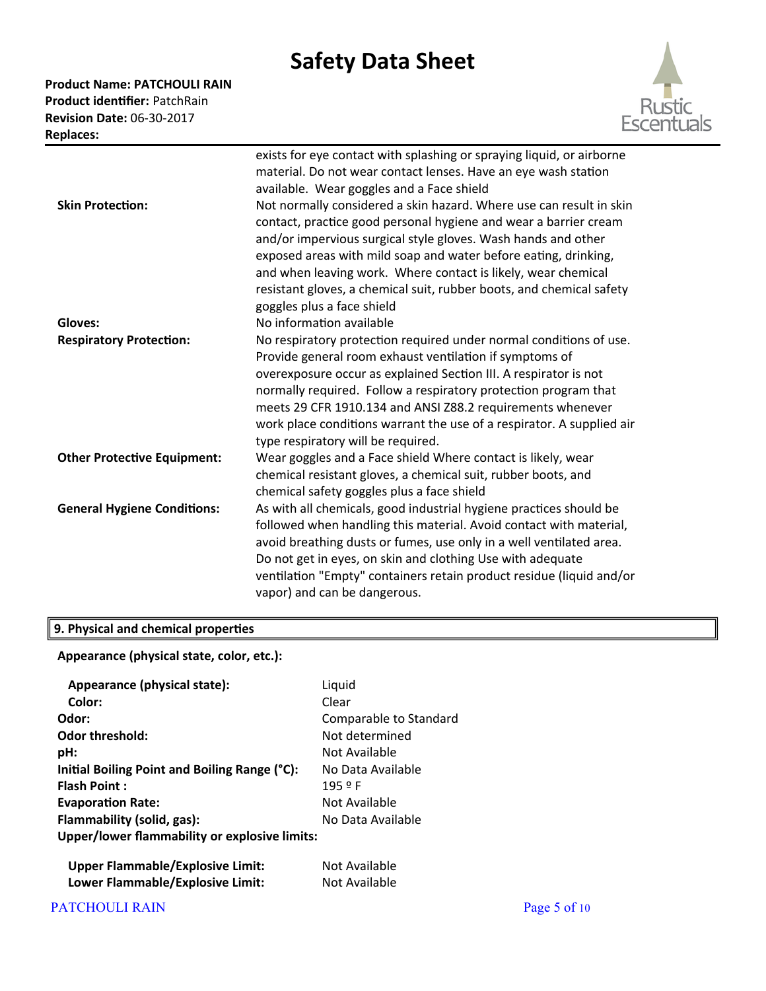**Product Name: PATCHOULI RAIN Product identifier:** PatchRain **Revision Date:** 06-30-2017 **Replaces:** 



|                                    | exists for eye contact with splashing or spraying liquid, or airborne<br>material. Do not wear contact lenses. Have an eye wash station<br>available. Wear goggles and a Face shield                                                                                                                                                                                                                                                               |
|------------------------------------|----------------------------------------------------------------------------------------------------------------------------------------------------------------------------------------------------------------------------------------------------------------------------------------------------------------------------------------------------------------------------------------------------------------------------------------------------|
| <b>Skin Protection:</b>            | Not normally considered a skin hazard. Where use can result in skin<br>contact, practice good personal hygiene and wear a barrier cream<br>and/or impervious surgical style gloves. Wash hands and other<br>exposed areas with mild soap and water before eating, drinking,<br>and when leaving work. Where contact is likely, wear chemical<br>resistant gloves, a chemical suit, rubber boots, and chemical safety<br>goggles plus a face shield |
| Gloves:                            | No information available                                                                                                                                                                                                                                                                                                                                                                                                                           |
| <b>Respiratory Protection:</b>     | No respiratory protection required under normal conditions of use.<br>Provide general room exhaust ventilation if symptoms of<br>overexposure occur as explained Section III. A respirator is not<br>normally required. Follow a respiratory protection program that<br>meets 29 CFR 1910.134 and ANSI Z88.2 requirements whenever<br>work place conditions warrant the use of a respirator. A supplied air<br>type respiratory will be required.  |
| <b>Other Protective Equipment:</b> | Wear goggles and a Face shield Where contact is likely, wear<br>chemical resistant gloves, a chemical suit, rubber boots, and<br>chemical safety goggles plus a face shield                                                                                                                                                                                                                                                                        |
| <b>General Hygiene Conditions:</b> | As with all chemicals, good industrial hygiene practices should be<br>followed when handling this material. Avoid contact with material,<br>avoid breathing dusts or fumes, use only in a well ventilated area.<br>Do not get in eyes, on skin and clothing Use with adequate<br>ventilation "Empty" containers retain product residue (liquid and/or<br>vapor) and can be dangerous.                                                              |

### **9. Physical and chemical properties**

**Appearance (physical state, color, etc.):**

| Appearance (physical state):                  | Liquid                 |
|-----------------------------------------------|------------------------|
| Color:                                        | Clear                  |
| Odor:                                         | Comparable to Standard |
| <b>Odor threshold:</b>                        | Not determined         |
| pH:                                           | Not Available          |
| Initial Boiling Point and Boiling Range (°C): | No Data Available      |
| <b>Flash Point:</b>                           | 1959                   |
| <b>Evaporation Rate:</b>                      | Not Available          |
| Flammability (solid, gas):                    | No Data Available      |
| Upper/lower flammability or explosive limits: |                        |
| <b>Upper Flammable/Explosive Limit:</b>       | Not Available          |
| Lower Flammable/Explosive Limit:              | Not Available          |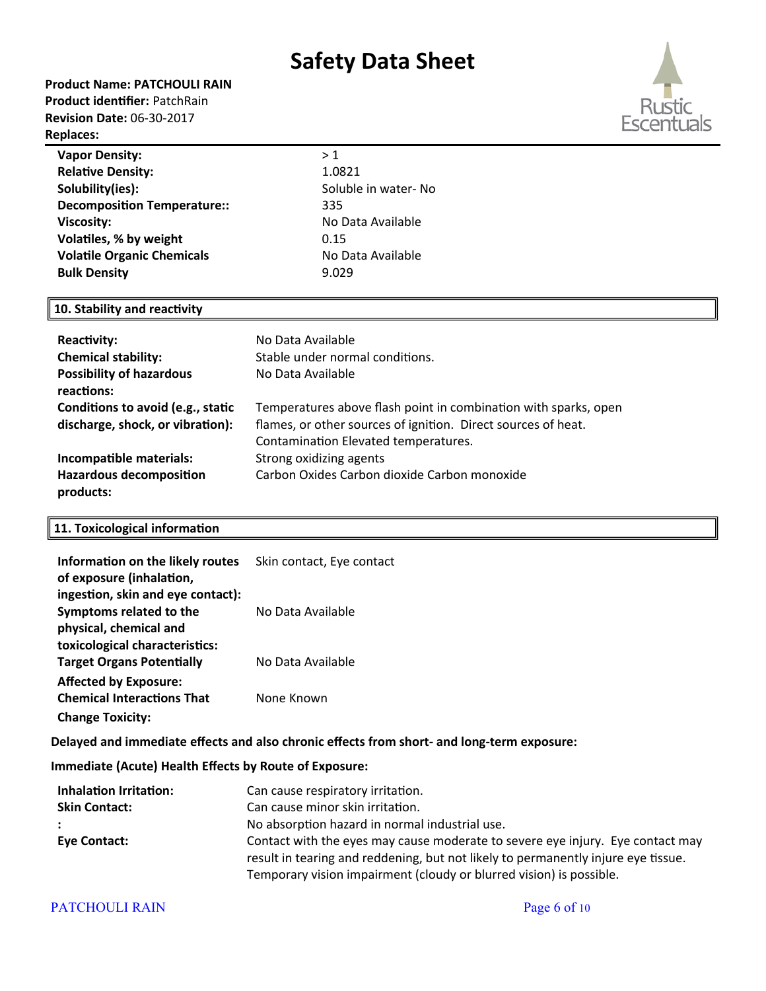#### **Product Name: PATCHOULI RAIN**

**Product identifier:** PatchRain **Revision Date:** 06-30-2017 **Replaces:** 



| <b>Vapor Density:</b>              | >1                              |  |
|------------------------------------|---------------------------------|--|
| <b>Relative Density:</b>           | 1.0821                          |  |
| Solubility(ies):                   | Soluble in water- No            |  |
| <b>Decomposition Temperature::</b> | 335                             |  |
| <b>Viscosity:</b>                  | No Data Available               |  |
| Volatiles, % by weight             | 0.15                            |  |
| <b>Volatile Organic Chemicals</b>  | No Data Available               |  |
| <b>Bulk Density</b>                | 9.029                           |  |
|                                    |                                 |  |
| 10. Stability and reactivity       |                                 |  |
|                                    |                                 |  |
| <b>Reactivity:</b>                 | No Data Available               |  |
| <b>Chemical stability:</b>         | Stable under normal conditions. |  |
| <b>Possibility of hazardous</b>    | No Data Available               |  |
| . <b>. .</b>                       |                                 |  |

| reactions:                        |                                                                 |
|-----------------------------------|-----------------------------------------------------------------|
| Conditions to avoid (e.g., static | Temperatures above flash point in combination with sparks, open |
| discharge, shock, or vibration):  | flames, or other sources of ignition. Direct sources of heat.   |
|                                   | Contamination Elevated temperatures.                            |
| Incompatible materials:           | Strong oxidizing agents                                         |
| <b>Hazardous decomposition</b>    | Carbon Oxides Carbon dioxide Carbon monoxide                    |
| products:                         |                                                                 |

#### **11. Toxicological information**

| Information on the likely routes  | Skin contact, Eye contact |
|-----------------------------------|---------------------------|
| of exposure (inhalation,          |                           |
| ingestion, skin and eye contact): |                           |
| Symptoms related to the           | No Data Available         |
| physical, chemical and            |                           |
| toxicological characteristics:    |                           |
| <b>Target Organs Potentially</b>  | No Data Available         |
| <b>Affected by Exposure:</b>      |                           |
| <b>Chemical Interactions That</b> | None Known                |
| <b>Change Toxicity:</b>           |                           |

**Delayed and immediate effects and also chronic effects from short- and long-term exposure:**

**Immediate (Acute) Health Effects by Route of Exposure:**

| <b>Inhalation Irritation:</b> | Can cause respiratory irritation.                                                 |  |  |
|-------------------------------|-----------------------------------------------------------------------------------|--|--|
| <b>Skin Contact:</b>          | Can cause minor skin irritation.                                                  |  |  |
|                               | No absorption hazard in normal industrial use.                                    |  |  |
| <b>Eve Contact:</b>           | Contact with the eyes may cause moderate to severe eye injury. Eye contact may    |  |  |
|                               | result in tearing and reddening, but not likely to permanently injure eye tissue. |  |  |
|                               | Temporary vision impairment (cloudy or blurred vision) is possible.               |  |  |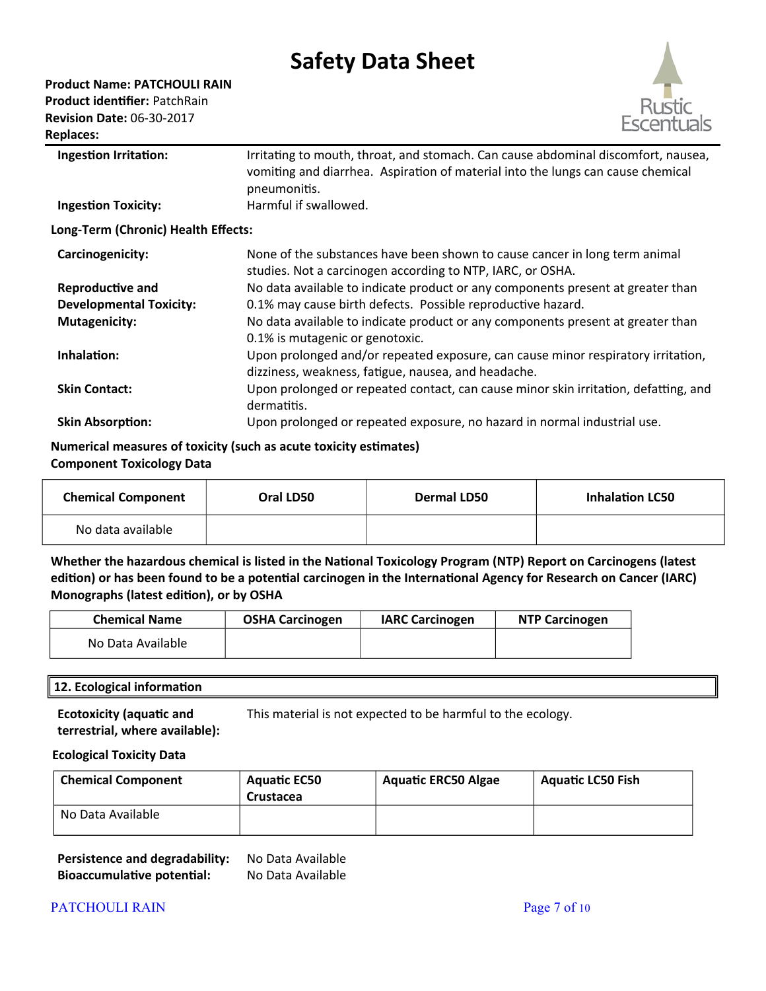**Product Name: PATCHOULI RAIN**

**Product identifier:** PatchRain **Revision Date:** 06-30-2017

**Replaces:** 



**Skin Contact:** Upon prolonged or repeated contact, can cause minor skin irritation, defatting, and dermatitis.

**Skin Absorption:** Upon prolonged or repeated exposure, no hazard in normal industrial use.

#### **Numerical measures of toxicity (such as acute toxicity estimates) Component Toxicology Data**

| <b>Chemical Component</b> | Oral LD50 | <b>Dermal LD50</b> | <b>Inhalation LC50</b> |
|---------------------------|-----------|--------------------|------------------------|
| No data available         |           |                    |                        |

**Whether the hazardous chemical is listed in the National Toxicology Program (NTP) Report on Carcinogens (latest edition) or has been found to be a potential carcinogen in the International Agency for Research on Cancer (IARC) Monographs (latest edition), or by OSHA**

| <b>Chemical Name</b> | <b>OSHA Carcinogen</b> | <b>IARC Carcinogen</b> | <b>NTP Carcinogen</b> |
|----------------------|------------------------|------------------------|-----------------------|
| No Data Available    |                        |                        |                       |

### **12. Ecological information**

**Ecotoxicity (aquatic and terrestrial, where available):** This material is not expected to be harmful to the ecology.

### **Ecological Toxicity Data**

| <b>Chemical Component</b> | <b>Aquatic EC50</b><br>Crustacea | <b>Aquatic ERC50 Algae</b> | <b>Aquatic LC50 Fish</b> |
|---------------------------|----------------------------------|----------------------------|--------------------------|
| No Data Available         |                                  |                            |                          |

| Persistence and degradability:    | No Data Available |
|-----------------------------------|-------------------|
| <b>Bioaccumulative potential:</b> | No Data Available |

### PATCHOULI RAIN Page 7 of 10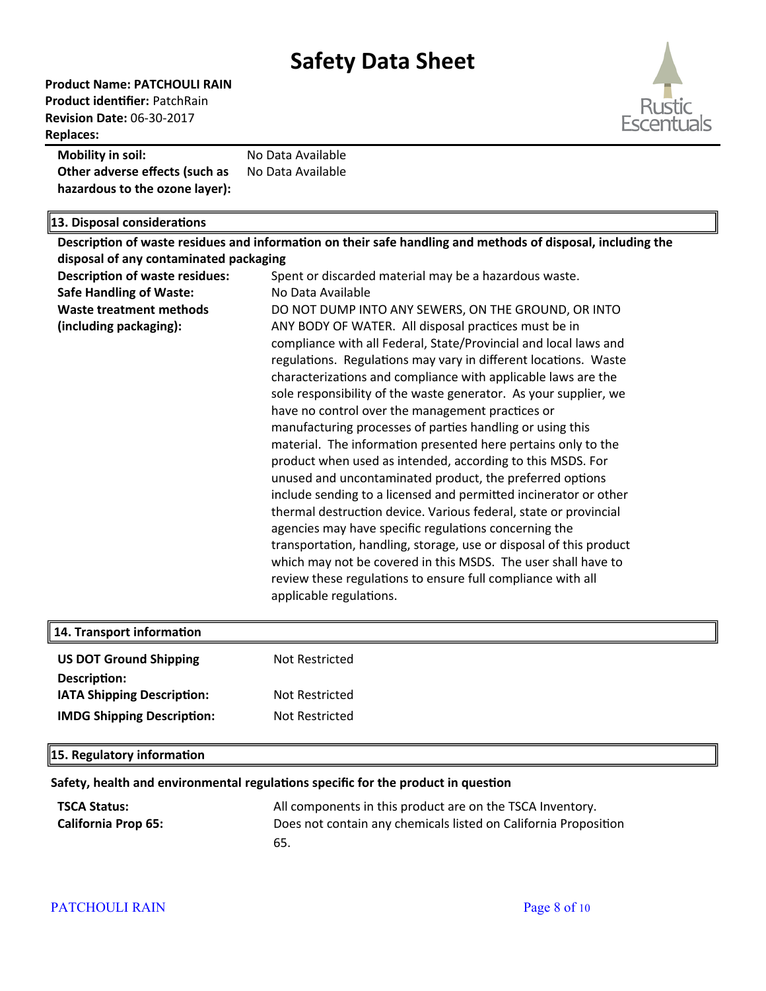**Product Name: PATCHOULI RAIN Product identifier:** PatchRain **Revision Date:** 06-30-2017 **Replaces:** 



#### **Mobility in soil:** No Data Available **Other adverse effects (such as hazardous to the ozone layer):** No Data Available

### **13. Disposal considerations**

|                                        | Description of waste residues and information on their safe handling and methods of disposal, including the |  |  |
|----------------------------------------|-------------------------------------------------------------------------------------------------------------|--|--|
| disposal of any contaminated packaging |                                                                                                             |  |  |
| <b>Description of waste residues:</b>  | Spent or discarded material may be a hazardous waste.                                                       |  |  |
| <b>Safe Handling of Waste:</b>         | No Data Available                                                                                           |  |  |
| <b>Waste treatment methods</b>         | DO NOT DUMP INTO ANY SEWERS, ON THE GROUND, OR INTO                                                         |  |  |
| (including packaging):                 | ANY BODY OF WATER. All disposal practices must be in                                                        |  |  |
|                                        | compliance with all Federal, State/Provincial and local laws and                                            |  |  |
|                                        | regulations. Regulations may vary in different locations. Waste                                             |  |  |
|                                        | characterizations and compliance with applicable laws are the                                               |  |  |
|                                        | sole responsibility of the waste generator. As your supplier, we                                            |  |  |
|                                        | have no control over the management practices or                                                            |  |  |
|                                        | manufacturing processes of parties handling or using this                                                   |  |  |
|                                        | material. The information presented here pertains only to the                                               |  |  |
|                                        | product when used as intended, according to this MSDS. For                                                  |  |  |
|                                        | unused and uncontaminated product, the preferred options                                                    |  |  |
|                                        | include sending to a licensed and permitted incinerator or other                                            |  |  |
|                                        | thermal destruction device. Various federal, state or provincial                                            |  |  |
|                                        | agencies may have specific regulations concerning the                                                       |  |  |
|                                        | transportation, handling, storage, use or disposal of this product                                          |  |  |
|                                        | which may not be covered in this MSDS. The user shall have to                                               |  |  |
|                                        | review these regulations to ensure full compliance with all                                                 |  |  |
|                                        | applicable regulations.                                                                                     |  |  |
|                                        |                                                                                                             |  |  |
| 14. Transport information              |                                                                                                             |  |  |
| <b>US DOT Ground Shipping</b>          | <b>Not Restricted</b>                                                                                       |  |  |
|                                        |                                                                                                             |  |  |
| Description:                           |                                                                                                             |  |  |
| <b>IATA Shipping Description:</b>      | <b>Not Restricted</b>                                                                                       |  |  |
| <b>IMDG Shipping Description:</b>      | <b>Not Restricted</b>                                                                                       |  |  |

### **15. Regulatory information**

#### **Safety, health and environmental regulations specific for the product in question**

| <b>TSCA Status:</b>        | All components in this product are on the TSCA Inventory.       |
|----------------------------|-----------------------------------------------------------------|
| <b>California Prop 65:</b> | Does not contain any chemicals listed on California Proposition |
|                            | 65.                                                             |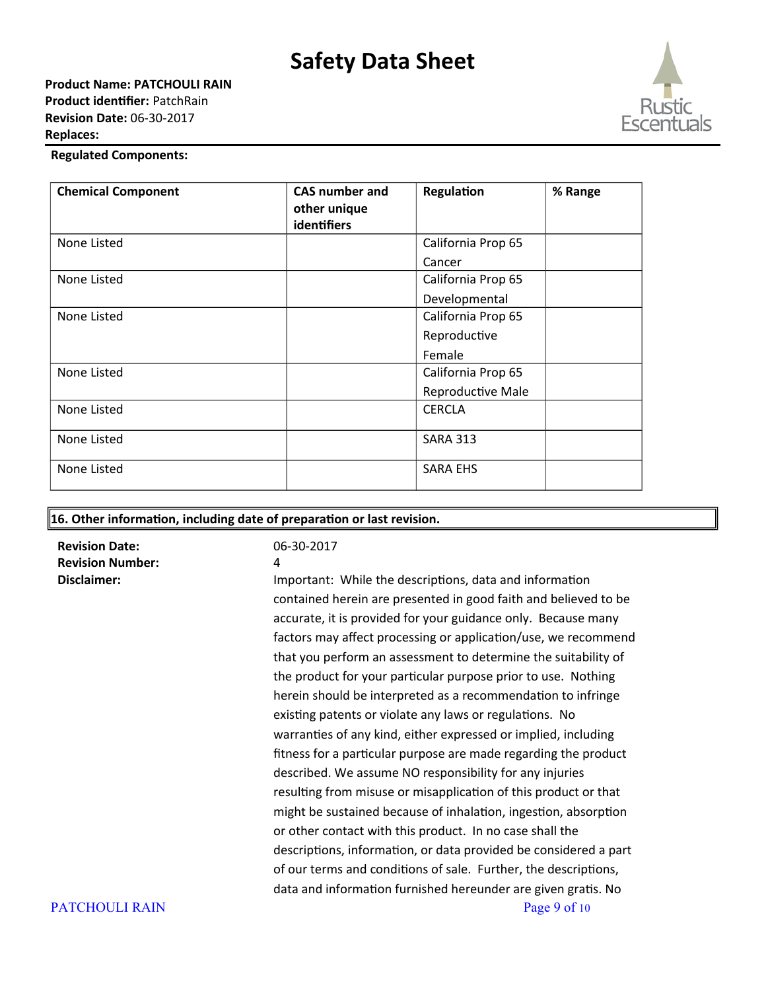

#### **Regulated Components:**

| <b>Chemical Component</b> | <b>CAS number and</b><br>other unique<br>identifiers | Regulation         | % Range |
|---------------------------|------------------------------------------------------|--------------------|---------|
| None Listed               |                                                      | California Prop 65 |         |
|                           |                                                      | Cancer             |         |
| None Listed               |                                                      | California Prop 65 |         |
|                           |                                                      | Developmental      |         |
| None Listed               |                                                      | California Prop 65 |         |
|                           |                                                      | Reproductive       |         |
|                           |                                                      | Female             |         |
| None Listed               |                                                      | California Prop 65 |         |
|                           |                                                      | Reproductive Male  |         |
| None Listed               |                                                      | <b>CERCLA</b>      |         |
| None Listed               |                                                      | <b>SARA 313</b>    |         |
| None Listed               |                                                      | <b>SARA EHS</b>    |         |

#### **16. Other information, including date of preparation or last revision.**

**Revision Date:** 06-30-2017 **Revision Number:** 4

**Disclaimer: Important: While the descriptions, data and information** contained herein are presented in good faith and believed to be accurate, it is provided for your guidance only. Because many factors may affect processing or application/use, we recommend that you perform an assessment to determine the suitability of the product for your particular purpose prior to use. Nothing herein should be interpreted as a recommendation to infringe existing patents or violate any laws or regulations. No warranties of any kind, either expressed or implied, including fitness for a particular purpose are made regarding the product described. We assume NO responsibility for any injuries resulting from misuse or misapplication of this product or that might be sustained because of inhalation, ingestion, absorption or other contact with this product. In no case shall the descriptions, information, or data provided be considered a part of our terms and conditions of sale. Further, the descriptions, data and information furnished hereunder are given gratis. No PATCHOULI RAIN Page 9 of 10